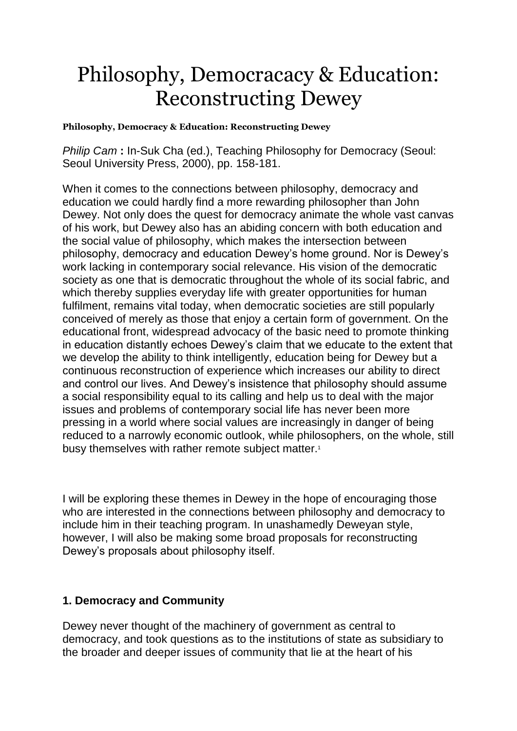## Philosophy, Democracacy & Education: Reconstructing Dewey

**Philosophy, Democracy & Education: Reconstructing Dewey**

*Philip Cam* **:** In-Suk Cha (ed.), Teaching Philosophy for Democracy (Seoul: Seoul University Press, 2000), pp. 158-181.

When it comes to the connections between philosophy, democracy and education we could hardly find a more rewarding philosopher than John Dewey. Not only does the quest for democracy animate the whole vast canvas of his work, but Dewey also has an abiding concern with both education and the social value of philosophy, which makes the intersection between philosophy, democracy and education Dewey's home ground. Nor is Dewey's work lacking in contemporary social relevance. His vision of the democratic society as one that is democratic throughout the whole of its social fabric, and which thereby supplies everyday life with greater opportunities for human fulfilment, remains vital today, when democratic societies are still popularly conceived of merely as those that enjoy a certain form of government. On the educational front, widespread advocacy of the basic need to promote thinking in education distantly echoes Dewey's claim that we educate to the extent that we develop the ability to think intelligently, education being for Dewey but a continuous reconstruction of experience which increases our ability to direct and control our lives. And Dewey's insistence that philosophy should assume a social responsibility equal to its calling and help us to deal with the major issues and problems of contemporary social life has never been more pressing in a world where social values are increasingly in danger of being reduced to a narrowly economic outlook, while philosophers, on the whole, still busy themselves with rather remote subject matter.<sup>1</sup>

I will be exploring these themes in Dewey in the hope of encouraging those who are interested in the connections between philosophy and democracy to include him in their teaching program. In unashamedly Deweyan style, however, I will also be making some broad proposals for reconstructing Dewey's proposals about philosophy itself.

## **1. Democracy and Community**

Dewey never thought of the machinery of government as central to democracy, and took questions as to the institutions of state as subsidiary to the broader and deeper issues of community that lie at the heart of his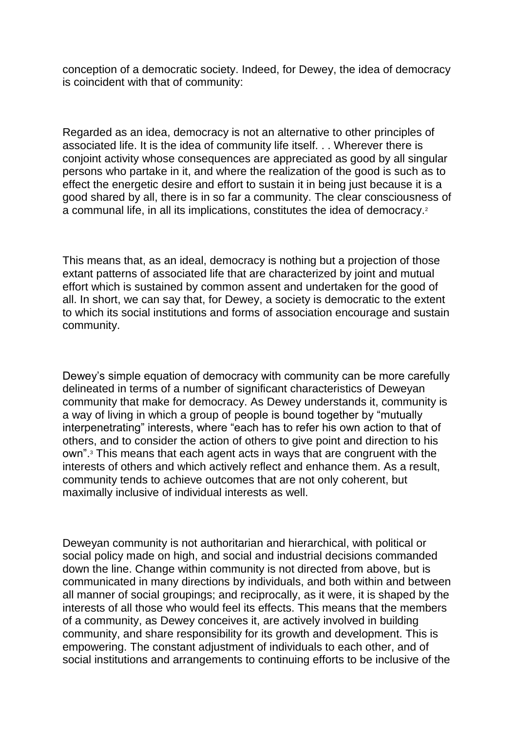conception of a democratic society. Indeed, for Dewey, the idea of democracy is coincident with that of community:

Regarded as an idea, democracy is not an alternative to other principles of associated life. It is the idea of community life itself. . . Wherever there is conjoint activity whose consequences are appreciated as good by all singular persons who partake in it, and where the realization of the good is such as to effect the energetic desire and effort to sustain it in being just because it is a good shared by all, there is in so far a community. The clear consciousness of a communal life, in all its implications, constitutes the idea of democracy.<sup>2</sup>

This means that, as an ideal, democracy is nothing but a projection of those extant patterns of associated life that are characterized by joint and mutual effort which is sustained by common assent and undertaken for the good of all. In short, we can say that, for Dewey, a society is democratic to the extent to which its social institutions and forms of association encourage and sustain community.

Dewey's simple equation of democracy with community can be more carefully delineated in terms of a number of significant characteristics of Deweyan community that make for democracy. As Dewey understands it, community is a way of living in which a group of people is bound together by "mutually interpenetrating" interests, where "each has to refer his own action to that of others, and to consider the action of others to give point and direction to his own".<sup>3</sup> This means that each agent acts in ways that are congruent with the interests of others and which actively reflect and enhance them. As a result, community tends to achieve outcomes that are not only coherent, but maximally inclusive of individual interests as well.

Deweyan community is not authoritarian and hierarchical, with political or social policy made on high, and social and industrial decisions commanded down the line. Change within community is not directed from above, but is communicated in many directions by individuals, and both within and between all manner of social groupings; and reciprocally, as it were, it is shaped by the interests of all those who would feel its effects. This means that the members of a community, as Dewey conceives it, are actively involved in building community, and share responsibility for its growth and development. This is empowering. The constant adjustment of individuals to each other, and of social institutions and arrangements to continuing efforts to be inclusive of the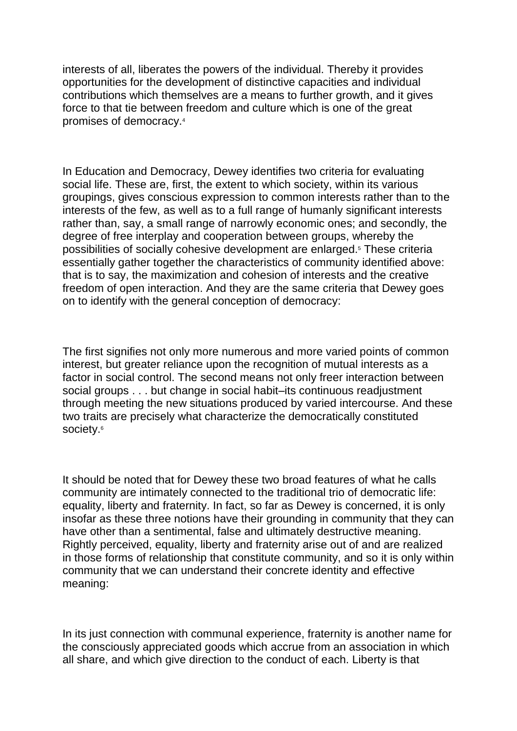interests of all, liberates the powers of the individual. Thereby it provides opportunities for the development of distinctive capacities and individual contributions which themselves are a means to further growth, and it gives force to that tie between freedom and culture which is one of the great promises of democracy.<sup>4</sup>

In Education and Democracy, Dewey identifies two criteria for evaluating social life. These are, first, the extent to which society, within its various groupings, gives conscious expression to common interests rather than to the interests of the few, as well as to a full range of humanly significant interests rather than, say, a small range of narrowly economic ones; and secondly, the degree of free interplay and cooperation between groups, whereby the possibilities of socially cohesive development are enlarged.<sup>5</sup> These criteria essentially gather together the characteristics of community identified above: that is to say, the maximization and cohesion of interests and the creative freedom of open interaction. And they are the same criteria that Dewey goes on to identify with the general conception of democracy:

The first signifies not only more numerous and more varied points of common interest, but greater reliance upon the recognition of mutual interests as a factor in social control. The second means not only freer interaction between social groups . . . but change in social habit–its continuous readjustment through meeting the new situations produced by varied intercourse. And these two traits are precisely what characterize the democratically constituted society.<sup>6</sup>

It should be noted that for Dewey these two broad features of what he calls community are intimately connected to the traditional trio of democratic life: equality, liberty and fraternity. In fact, so far as Dewey is concerned, it is only insofar as these three notions have their grounding in community that they can have other than a sentimental, false and ultimately destructive meaning. Rightly perceived, equality, liberty and fraternity arise out of and are realized in those forms of relationship that constitute community, and so it is only within community that we can understand their concrete identity and effective meaning:

In its just connection with communal experience, fraternity is another name for the consciously appreciated goods which accrue from an association in which all share, and which give direction to the conduct of each. Liberty is that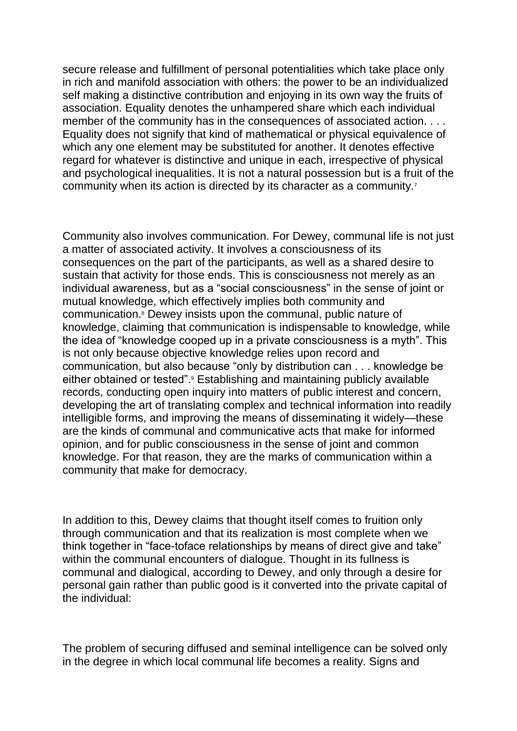secure release and fulfillment of personal potentialities which take place only in rich and manifold association with others: the power to be an individualized self making a distinctive contribution and enjoying in its own way the fruits of association. Equality denotes the unhampered share which each individual member of the community has in the consequences of associated action. . . . Equality does not signify that kind of mathematical or physical equivalence of which any one element may be substituted for another. It denotes effective regard for whatever is distinctive and unique in each, irrespective of physical and psychological inequalities. It is not a natural possession but is a fruit of the community when its action is directed by its character as a community.<sup>7</sup>

Community also involves communication. For Dewey, communal life is not just a matter of associated activity. It involves a consciousness of its consequences on the part of the participants, as well as a shared desire to sustain that activity for those ends. This is consciousness not merely as an individual awareness, but as a "social consciousness" in the sense of joint or mutual knowledge, which effectively implies both community and communication.<sup>8</sup> Dewey insists upon the communal, public nature of knowledge, claiming that communication is indispensable to knowledge, while the idea of "knowledge cooped up in a private consciousness is a myth". This is not only because objective knowledge relies upon record and communication, but also because "only by distribution can . . . knowledge be either obtained or tested".<sup>9</sup> Establishing and maintaining publicly available records, conducting open inquiry into matters of public interest and concern, developing the art of translating complex and technical information into readily intelligible forms, and improving the means of disseminating it widely—these are the kinds of communal and communicative acts that make for informed opinion, and for public consciousness in the sense of joint and common knowledge. For that reason, they are the marks of communication within a community that make for democracy.

In addition to this, Dewey claims that thought itself comes to fruition only through communication and that its realization is most complete when we think together in "face-toface relationships by means of direct give and take" within the communal encounters of dialogue. Thought in its fullness is communal and dialogical, according to Dewey, and only through a desire for personal gain rather than public good is it converted into the private capital of the individual:

The problem of securing diffused and seminal intelligence can be solved only in the degree in which local communal life becomes a reality. Signs and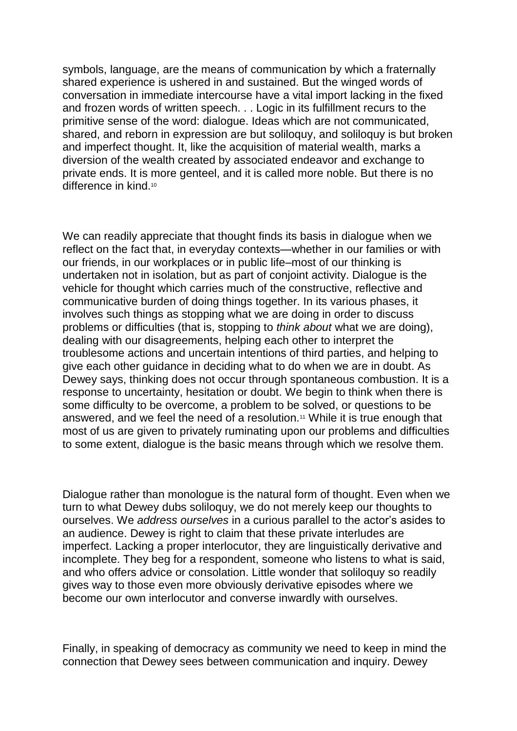symbols, language, are the means of communication by which a fraternally shared experience is ushered in and sustained. But the winged words of conversation in immediate intercourse have a vital import lacking in the fixed and frozen words of written speech. . . Logic in its fulfillment recurs to the primitive sense of the word: dialogue. Ideas which are not communicated, shared, and reborn in expression are but soliloquy, and soliloquy is but broken and imperfect thought. It, like the acquisition of material wealth, marks a diversion of the wealth created by associated endeavor and exchange to private ends. It is more genteel, and it is called more noble. But there is no difference in kind.<sup>10</sup>

We can readily appreciate that thought finds its basis in dialogue when we reflect on the fact that, in everyday contexts—whether in our families or with our friends, in our workplaces or in public life–most of our thinking is undertaken not in isolation, but as part of conjoint activity. Dialogue is the vehicle for thought which carries much of the constructive, reflective and communicative burden of doing things together. In its various phases, it involves such things as stopping what we are doing in order to discuss problems or difficulties (that is, stopping to *think about* what we are doing), dealing with our disagreements, helping each other to interpret the troublesome actions and uncertain intentions of third parties, and helping to give each other guidance in deciding what to do when we are in doubt. As Dewey says, thinking does not occur through spontaneous combustion. It is a response to uncertainty, hesitation or doubt. We begin to think when there is some difficulty to be overcome, a problem to be solved, or questions to be answered, and we feel the need of a resolution.<sup>11</sup> While it is true enough that most of us are given to privately ruminating upon our problems and difficulties to some extent, dialogue is the basic means through which we resolve them.

Dialogue rather than monologue is the natural form of thought. Even when we turn to what Dewey dubs soliloquy, we do not merely keep our thoughts to ourselves. We *address ourselves* in a curious parallel to the actor's asides to an audience. Dewey is right to claim that these private interludes are imperfect. Lacking a proper interlocutor, they are linguistically derivative and incomplete. They beg for a respondent, someone who listens to what is said, and who offers advice or consolation. Little wonder that soliloquy so readily gives way to those even more obviously derivative episodes where we become our own interlocutor and converse inwardly with ourselves.

Finally, in speaking of democracy as community we need to keep in mind the connection that Dewey sees between communication and inquiry. Dewey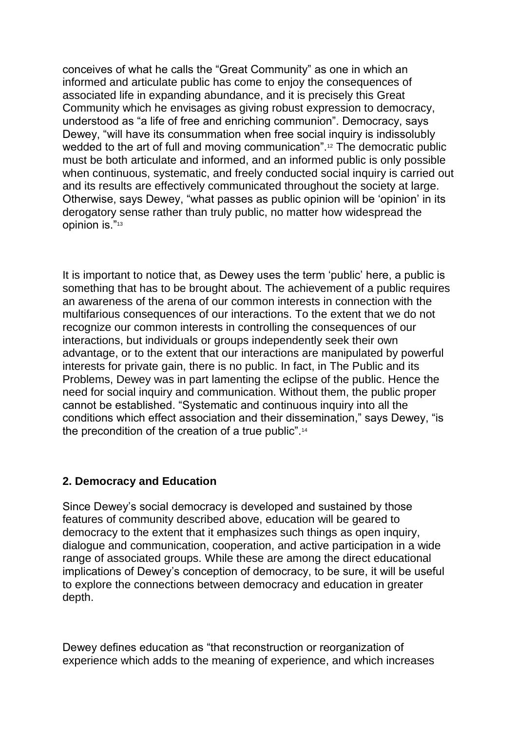conceives of what he calls the "Great Community" as one in which an informed and articulate public has come to enjoy the consequences of associated life in expanding abundance, and it is precisely this Great Community which he envisages as giving robust expression to democracy, understood as "a life of free and enriching communion". Democracy, says Dewey, "will have its consummation when free social inquiry is indissolubly wedded to the art of full and moving communication".<sup>12</sup> The democratic public must be both articulate and informed, and an informed public is only possible when continuous, systematic, and freely conducted social inquiry is carried out and its results are effectively communicated throughout the society at large. Otherwise, says Dewey, "what passes as public opinion will be 'opinion' in its derogatory sense rather than truly public, no matter how widespread the opinion is."<sup>13</sup>

It is important to notice that, as Dewey uses the term 'public' here, a public is something that has to be brought about. The achievement of a public requires an awareness of the arena of our common interests in connection with the multifarious consequences of our interactions. To the extent that we do not recognize our common interests in controlling the consequences of our interactions, but individuals or groups independently seek their own advantage, or to the extent that our interactions are manipulated by powerful interests for private gain, there is no public. In fact, in The Public and its Problems, Dewey was in part lamenting the eclipse of the public. Hence the need for social inquiry and communication. Without them, the public proper cannot be established. "Systematic and continuous inquiry into all the conditions which effect association and their dissemination," says Dewey, "is the precondition of the creation of a true public".<sup>14</sup>

## **2. Democracy and Education**

Since Dewey's social democracy is developed and sustained by those features of community described above, education will be geared to democracy to the extent that it emphasizes such things as open inquiry, dialogue and communication, cooperation, and active participation in a wide range of associated groups. While these are among the direct educational implications of Dewey's conception of democracy, to be sure, it will be useful to explore the connections between democracy and education in greater depth.

Dewey defines education as "that reconstruction or reorganization of experience which adds to the meaning of experience, and which increases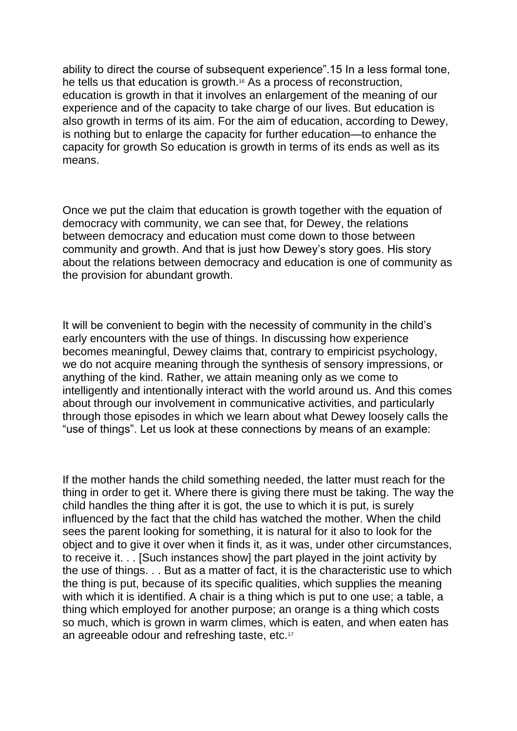ability to direct the course of subsequent experience".15 In a less formal tone, he tells us that education is growth.<sup>16</sup> As a process of reconstruction, education is growth in that it involves an enlargement of the meaning of our experience and of the capacity to take charge of our lives. But education is also growth in terms of its aim. For the aim of education, according to Dewey, is nothing but to enlarge the capacity for further education—to enhance the capacity for growth So education is growth in terms of its ends as well as its means.

Once we put the claim that education is growth together with the equation of democracy with community, we can see that, for Dewey, the relations between democracy and education must come down to those between community and growth. And that is just how Dewey's story goes. His story about the relations between democracy and education is one of community as the provision for abundant growth.

It will be convenient to begin with the necessity of community in the child's early encounters with the use of things. In discussing how experience becomes meaningful, Dewey claims that, contrary to empiricist psychology, we do not acquire meaning through the synthesis of sensory impressions, or anything of the kind. Rather, we attain meaning only as we come to intelligently and intentionally interact with the world around us. And this comes about through our involvement in communicative activities, and particularly through those episodes in which we learn about what Dewey loosely calls the "use of things". Let us look at these connections by means of an example:

If the mother hands the child something needed, the latter must reach for the thing in order to get it. Where there is giving there must be taking. The way the child handles the thing after it is got, the use to which it is put, is surely influenced by the fact that the child has watched the mother. When the child sees the parent looking for something, it is natural for it also to look for the object and to give it over when it finds it, as it was, under other circumstances, to receive it. . . [Such instances show] the part played in the joint activity by the use of things. . . But as a matter of fact, it is the characteristic use to which the thing is put, because of its specific qualities, which supplies the meaning with which it is identified. A chair is a thing which is put to one use; a table, a thing which employed for another purpose; an orange is a thing which costs so much, which is grown in warm climes, which is eaten, and when eaten has an agreeable odour and refreshing taste, etc.17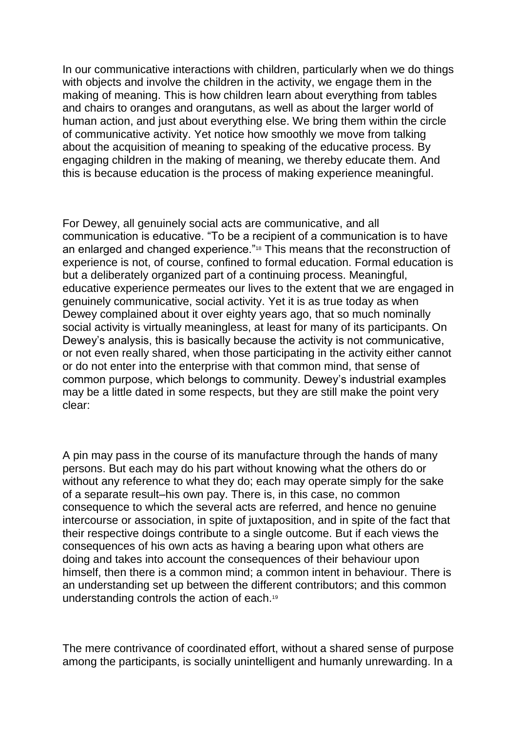In our communicative interactions with children, particularly when we do things with objects and involve the children in the activity, we engage them in the making of meaning. This is how children learn about everything from tables and chairs to oranges and orangutans, as well as about the larger world of human action, and just about everything else. We bring them within the circle of communicative activity. Yet notice how smoothly we move from talking about the acquisition of meaning to speaking of the educative process. By engaging children in the making of meaning, we thereby educate them. And this is because education is the process of making experience meaningful.

For Dewey, all genuinely social acts are communicative, and all communication is educative. "To be a recipient of a communication is to have an enlarged and changed experience."<sup>18</sup> This means that the reconstruction of experience is not, of course, confined to formal education. Formal education is but a deliberately organized part of a continuing process. Meaningful, educative experience permeates our lives to the extent that we are engaged in genuinely communicative, social activity. Yet it is as true today as when Dewey complained about it over eighty years ago, that so much nominally social activity is virtually meaningless, at least for many of its participants. On Dewey's analysis, this is basically because the activity is not communicative, or not even really shared, when those participating in the activity either cannot or do not enter into the enterprise with that common mind, that sense of common purpose, which belongs to community. Dewey's industrial examples may be a little dated in some respects, but they are still make the point very clear:

A pin may pass in the course of its manufacture through the hands of many persons. But each may do his part without knowing what the others do or without any reference to what they do; each may operate simply for the sake of a separate result–his own pay. There is, in this case, no common consequence to which the several acts are referred, and hence no genuine intercourse or association, in spite of juxtaposition, and in spite of the fact that their respective doings contribute to a single outcome. But if each views the consequences of his own acts as having a bearing upon what others are doing and takes into account the consequences of their behaviour upon himself, then there is a common mind; a common intent in behaviour. There is an understanding set up between the different contributors; and this common understanding controls the action of each.<sup>19</sup>

The mere contrivance of coordinated effort, without a shared sense of purpose among the participants, is socially unintelligent and humanly unrewarding. In a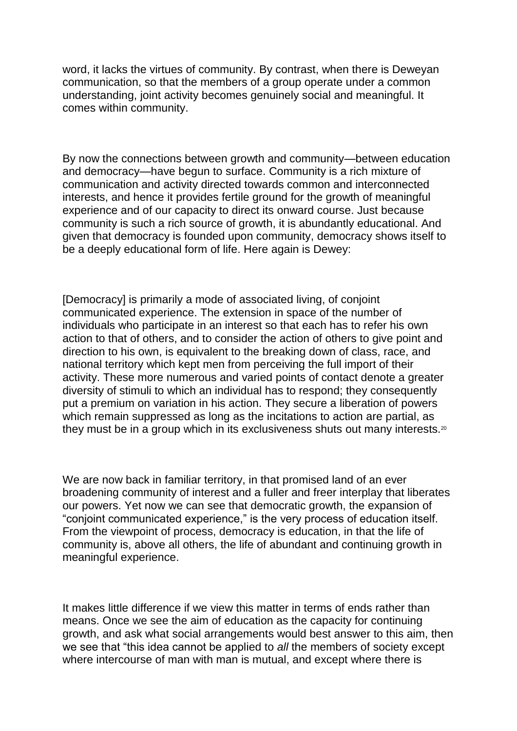word, it lacks the virtues of community. By contrast, when there is Deweyan communication, so that the members of a group operate under a common understanding, joint activity becomes genuinely social and meaningful. It comes within community.

By now the connections between growth and community—between education and democracy—have begun to surface. Community is a rich mixture of communication and activity directed towards common and interconnected interests, and hence it provides fertile ground for the growth of meaningful experience and of our capacity to direct its onward course. Just because community is such a rich source of growth, it is abundantly educational. And given that democracy is founded upon community, democracy shows itself to be a deeply educational form of life. Here again is Dewey:

[Democracy] is primarily a mode of associated living, of conjoint communicated experience. The extension in space of the number of individuals who participate in an interest so that each has to refer his own action to that of others, and to consider the action of others to give point and direction to his own, is equivalent to the breaking down of class, race, and national territory which kept men from perceiving the full import of their activity. These more numerous and varied points of contact denote a greater diversity of stimuli to which an individual has to respond; they consequently put a premium on variation in his action. They secure a liberation of powers which remain suppressed as long as the incitations to action are partial, as they must be in a group which in its exclusiveness shuts out many interests.<sup>20</sup>

We are now back in familiar territory, in that promised land of an ever broadening community of interest and a fuller and freer interplay that liberates our powers. Yet now we can see that democratic growth, the expansion of "conjoint communicated experience," is the very process of education itself. From the viewpoint of process, democracy is education, in that the life of community is, above all others, the life of abundant and continuing growth in meaningful experience.

It makes little difference if we view this matter in terms of ends rather than means. Once we see the aim of education as the capacity for continuing growth, and ask what social arrangements would best answer to this aim, then we see that "this idea cannot be applied to *all* the members of society except where intercourse of man with man is mutual, and except where there is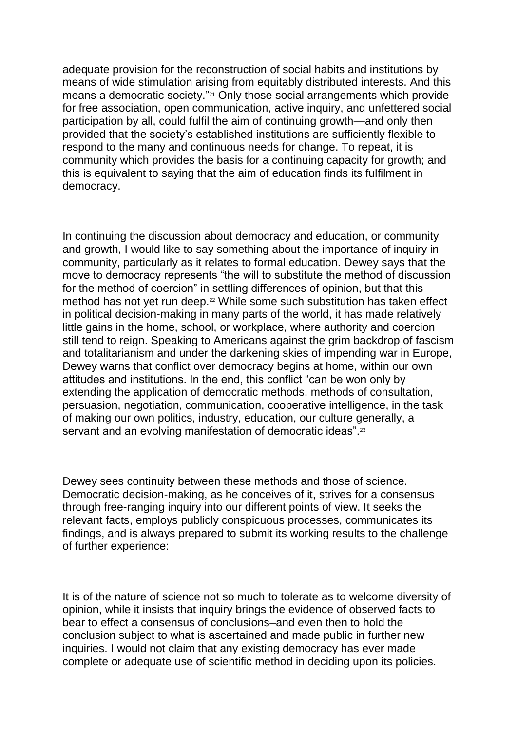adequate provision for the reconstruction of social habits and institutions by means of wide stimulation arising from equitably distributed interests. And this means a democratic society."<sup>21</sup> Only those social arrangements which provide for free association, open communication, active inquiry, and unfettered social participation by all, could fulfil the aim of continuing growth—and only then provided that the society's established institutions are sufficiently flexible to respond to the many and continuous needs for change. To repeat, it is community which provides the basis for a continuing capacity for growth; and this is equivalent to saying that the aim of education finds its fulfilment in democracy.

In continuing the discussion about democracy and education, or community and growth, I would like to say something about the importance of inquiry in community, particularly as it relates to formal education. Dewey says that the move to democracy represents "the will to substitute the method of discussion for the method of coercion" in settling differences of opinion, but that this method has not yet run deep.<sup>22</sup> While some such substitution has taken effect in political decision-making in many parts of the world, it has made relatively little gains in the home, school, or workplace, where authority and coercion still tend to reign. Speaking to Americans against the grim backdrop of fascism and totalitarianism and under the darkening skies of impending war in Europe, Dewey warns that conflict over democracy begins at home, within our own attitudes and institutions. In the end, this conflict "can be won only by extending the application of democratic methods, methods of consultation, persuasion, negotiation, communication, cooperative intelligence, in the task of making our own politics, industry, education, our culture generally, a servant and an evolving manifestation of democratic ideas".<sup>23</sup>

Dewey sees continuity between these methods and those of science. Democratic decision-making, as he conceives of it, strives for a consensus through free-ranging inquiry into our different points of view. It seeks the relevant facts, employs publicly conspicuous processes, communicates its findings, and is always prepared to submit its working results to the challenge of further experience:

It is of the nature of science not so much to tolerate as to welcome diversity of opinion, while it insists that inquiry brings the evidence of observed facts to bear to effect a consensus of conclusions–and even then to hold the conclusion subject to what is ascertained and made public in further new inquiries. I would not claim that any existing democracy has ever made complete or adequate use of scientific method in deciding upon its policies.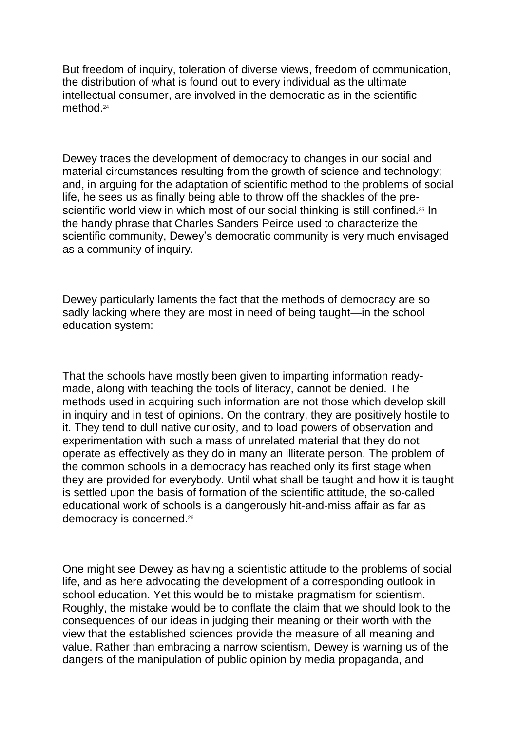But freedom of inquiry, toleration of diverse views, freedom of communication, the distribution of what is found out to every individual as the ultimate intellectual consumer, are involved in the democratic as in the scientific method.<sup>24</sup>

Dewey traces the development of democracy to changes in our social and material circumstances resulting from the growth of science and technology; and, in arguing for the adaptation of scientific method to the problems of social life, he sees us as finally being able to throw off the shackles of the prescientific world view in which most of our social thinking is still confined.<sup>25</sup> In the handy phrase that Charles Sanders Peirce used to characterize the scientific community, Dewey's democratic community is very much envisaged as a community of inquiry.

Dewey particularly laments the fact that the methods of democracy are so sadly lacking where they are most in need of being taught—in the school education system:

That the schools have mostly been given to imparting information readymade, along with teaching the tools of literacy, cannot be denied. The methods used in acquiring such information are not those which develop skill in inquiry and in test of opinions. On the contrary, they are positively hostile to it. They tend to dull native curiosity, and to load powers of observation and experimentation with such a mass of unrelated material that they do not operate as effectively as they do in many an illiterate person. The problem of the common schools in a democracy has reached only its first stage when they are provided for everybody. Until what shall be taught and how it is taught is settled upon the basis of formation of the scientific attitude, the so-called educational work of schools is a dangerously hit-and-miss affair as far as democracy is concerned.<sup>26</sup>

One might see Dewey as having a scientistic attitude to the problems of social life, and as here advocating the development of a corresponding outlook in school education. Yet this would be to mistake pragmatism for scientism. Roughly, the mistake would be to conflate the claim that we should look to the consequences of our ideas in judging their meaning or their worth with the view that the established sciences provide the measure of all meaning and value. Rather than embracing a narrow scientism, Dewey is warning us of the dangers of the manipulation of public opinion by media propaganda, and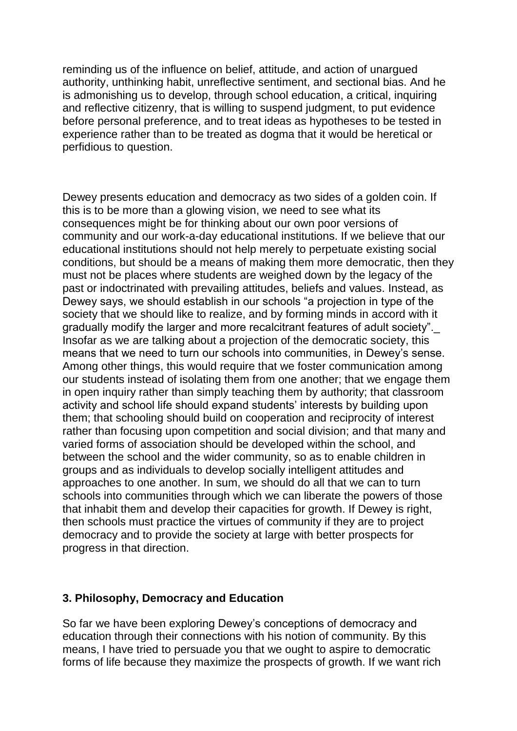reminding us of the influence on belief, attitude, and action of unargued authority, unthinking habit, unreflective sentiment, and sectional bias. And he is admonishing us to develop, through school education, a critical, inquiring and reflective citizenry, that is willing to suspend judgment, to put evidence before personal preference, and to treat ideas as hypotheses to be tested in experience rather than to be treated as dogma that it would be heretical or perfidious to question.

Dewey presents education and democracy as two sides of a golden coin. If this is to be more than a glowing vision, we need to see what its consequences might be for thinking about our own poor versions of community and our work-a-day educational institutions. If we believe that our educational institutions should not help merely to perpetuate existing social conditions, but should be a means of making them more democratic, then they must not be places where students are weighed down by the legacy of the past or indoctrinated with prevailing attitudes, beliefs and values. Instead, as Dewey says, we should establish in our schools "a projection in type of the society that we should like to realize, and by forming minds in accord with it gradually modify the larger and more recalcitrant features of adult society". Insofar as we are talking about a projection of the democratic society, this means that we need to turn our schools into communities, in Dewey's sense. Among other things, this would require that we foster communication among our students instead of isolating them from one another; that we engage them in open inquiry rather than simply teaching them by authority; that classroom activity and school life should expand students' interests by building upon them; that schooling should build on cooperation and reciprocity of interest rather than focusing upon competition and social division; and that many and varied forms of association should be developed within the school, and between the school and the wider community, so as to enable children in groups and as individuals to develop socially intelligent attitudes and approaches to one another. In sum, we should do all that we can to turn schools into communities through which we can liberate the powers of those that inhabit them and develop their capacities for growth. If Dewey is right, then schools must practice the virtues of community if they are to project democracy and to provide the society at large with better prospects for progress in that direction.

## **3. Philosophy, Democracy and Education**

So far we have been exploring Dewey's conceptions of democracy and education through their connections with his notion of community. By this means, I have tried to persuade you that we ought to aspire to democratic forms of life because they maximize the prospects of growth. If we want rich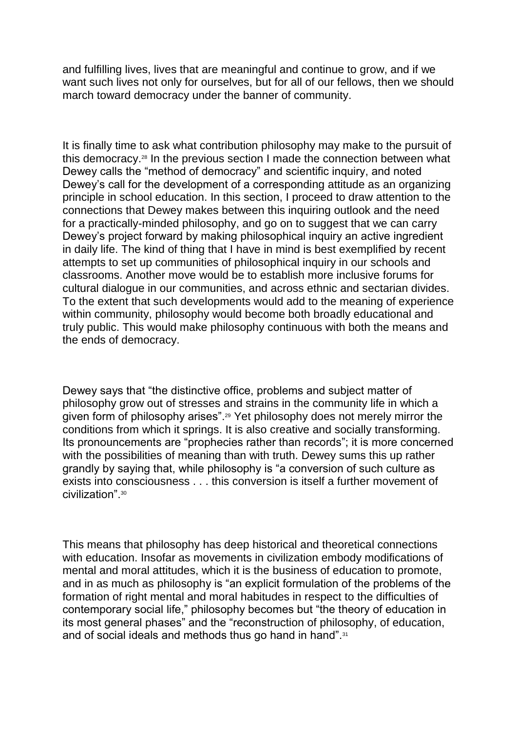and fulfilling lives, lives that are meaningful and continue to grow, and if we want such lives not only for ourselves, but for all of our fellows, then we should march toward democracy under the banner of community.

It is finally time to ask what contribution philosophy may make to the pursuit of this democracy.<sup>28</sup> In the previous section I made the connection between what Dewey calls the "method of democracy" and scientific inquiry, and noted Dewey's call for the development of a corresponding attitude as an organizing principle in school education. In this section, I proceed to draw attention to the connections that Dewey makes between this inquiring outlook and the need for a practically-minded philosophy, and go on to suggest that we can carry Dewey's project forward by making philosophical inquiry an active ingredient in daily life. The kind of thing that I have in mind is best exemplified by recent attempts to set up communities of philosophical inquiry in our schools and classrooms. Another move would be to establish more inclusive forums for cultural dialogue in our communities, and across ethnic and sectarian divides. To the extent that such developments would add to the meaning of experience within community, philosophy would become both broadly educational and truly public. This would make philosophy continuous with both the means and the ends of democracy.

Dewey says that "the distinctive office, problems and subject matter of philosophy grow out of stresses and strains in the community life in which a given form of philosophy arises".<sup>29</sup> Yet philosophy does not merely mirror the conditions from which it springs. It is also creative and socially transforming. Its pronouncements are "prophecies rather than records"; it is more concerned with the possibilities of meaning than with truth. Dewey sums this up rather grandly by saying that, while philosophy is "a conversion of such culture as exists into consciousness . . . this conversion is itself a further movement of civilization".<sup>30</sup>

This means that philosophy has deep historical and theoretical connections with education. Insofar as movements in civilization embody modifications of mental and moral attitudes, which it is the business of education to promote, and in as much as philosophy is "an explicit formulation of the problems of the formation of right mental and moral habitudes in respect to the difficulties of contemporary social life," philosophy becomes but "the theory of education in its most general phases" and the "reconstruction of philosophy, of education, and of social ideals and methods thus go hand in hand".<sup>31</sup>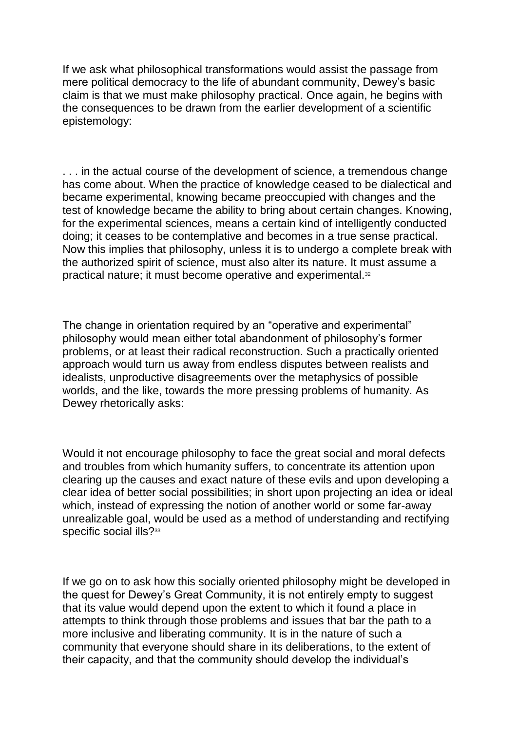If we ask what philosophical transformations would assist the passage from mere political democracy to the life of abundant community, Dewey's basic claim is that we must make philosophy practical. Once again, he begins with the consequences to be drawn from the earlier development of a scientific epistemology:

. . . in the actual course of the development of science, a tremendous change has come about. When the practice of knowledge ceased to be dialectical and became experimental, knowing became preoccupied with changes and the test of knowledge became the ability to bring about certain changes. Knowing, for the experimental sciences, means a certain kind of intelligently conducted doing; it ceases to be contemplative and becomes in a true sense practical. Now this implies that philosophy, unless it is to undergo a complete break with the authorized spirit of science, must also alter its nature. It must assume a practical nature; it must become operative and experimental.<sup>32</sup>

The change in orientation required by an "operative and experimental" philosophy would mean either total abandonment of philosophy's former problems, or at least their radical reconstruction. Such a practically oriented approach would turn us away from endless disputes between realists and idealists, unproductive disagreements over the metaphysics of possible worlds, and the like, towards the more pressing problems of humanity. As Dewey rhetorically asks:

Would it not encourage philosophy to face the great social and moral defects and troubles from which humanity suffers, to concentrate its attention upon clearing up the causes and exact nature of these evils and upon developing a clear idea of better social possibilities; in short upon projecting an idea or ideal which, instead of expressing the notion of another world or some far-away unrealizable goal, would be used as a method of understanding and rectifying specific social ills?<sup>33</sup>

If we go on to ask how this socially oriented philosophy might be developed in the quest for Dewey's Great Community, it is not entirely empty to suggest that its value would depend upon the extent to which it found a place in attempts to think through those problems and issues that bar the path to a more inclusive and liberating community. It is in the nature of such a community that everyone should share in its deliberations, to the extent of their capacity, and that the community should develop the individual's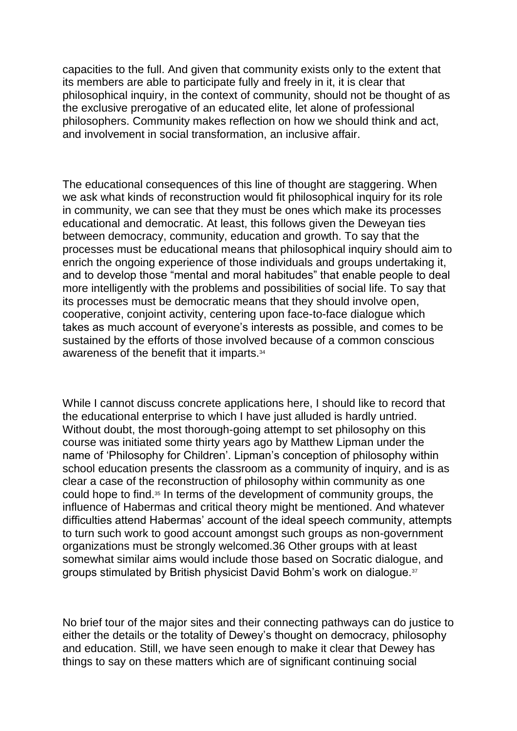capacities to the full. And given that community exists only to the extent that its members are able to participate fully and freely in it, it is clear that philosophical inquiry, in the context of community, should not be thought of as the exclusive prerogative of an educated elite, let alone of professional philosophers. Community makes reflection on how we should think and act, and involvement in social transformation, an inclusive affair.

The educational consequences of this line of thought are staggering. When we ask what kinds of reconstruction would fit philosophical inquiry for its role in community, we can see that they must be ones which make its processes educational and democratic. At least, this follows given the Deweyan ties between democracy, community, education and growth. To say that the processes must be educational means that philosophical inquiry should aim to enrich the ongoing experience of those individuals and groups undertaking it, and to develop those "mental and moral habitudes" that enable people to deal more intelligently with the problems and possibilities of social life. To say that its processes must be democratic means that they should involve open, cooperative, conjoint activity, centering upon face-to-face dialogue which takes as much account of everyone's interests as possible, and comes to be sustained by the efforts of those involved because of a common conscious awareness of the benefit that it imparts.<sup>34</sup>

While I cannot discuss concrete applications here, I should like to record that the educational enterprise to which I have just alluded is hardly untried. Without doubt, the most thorough-going attempt to set philosophy on this course was initiated some thirty years ago by Matthew Lipman under the name of 'Philosophy for Children'. Lipman's conception of philosophy within school education presents the classroom as a community of inquiry, and is as clear a case of the reconstruction of philosophy within community as one could hope to find.<sup>35</sup> In terms of the development of community groups, the influence of Habermas and critical theory might be mentioned. And whatever difficulties attend Habermas' account of the ideal speech community, attempts to turn such work to good account amongst such groups as non-government organizations must be strongly welcomed.36 Other groups with at least somewhat similar aims would include those based on Socratic dialogue, and groups stimulated by British physicist David Bohm's work on dialogue.<sup>37</sup>

No brief tour of the major sites and their connecting pathways can do justice to either the details or the totality of Dewey's thought on democracy, philosophy and education. Still, we have seen enough to make it clear that Dewey has things to say on these matters which are of significant continuing social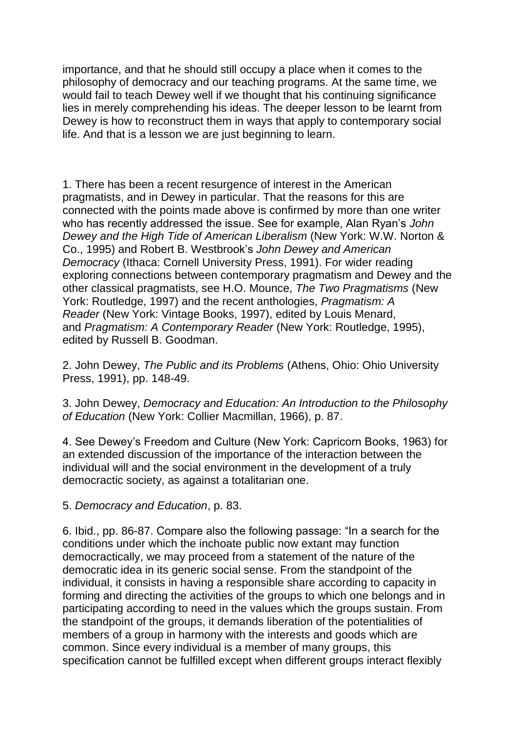importance, and that he should still occupy a place when it comes to the philosophy of democracy and our teaching programs. At the same time, we would fail to teach Dewey well if we thought that his continuing significance lies in merely comprehending his ideas. The deeper lesson to be learnt from Dewey is how to reconstruct them in ways that apply to contemporary social life. And that is a lesson we are just beginning to learn.

1. There has been a recent resurgence of interest in the American pragmatists, and in Dewey in particular. That the reasons for this are connected with the points made above is confirmed by more than one writer who has recently addressed the issue. See for example, Alan Ryan's *John Dewey and the High Tide of American Liberalism* (New York: W.W. Norton & Co., 1995) and Robert B. Westbrook's *John Dewey and American Democracy* (Ithaca: Cornell University Press, 1991). For wider reading exploring connections between contemporary pragmatism and Dewey and the other classical pragmatists, see H.O. Mounce, *The Two Pragmatisms* (New York: Routledge, 1997) and the recent anthologies, *Pragmatism: A Reader* (New York: Vintage Books, 1997), edited by Louis Menard, and *Pragmatism: A Contemporary Reader* (New York: Routledge, 1995), edited by Russell B. Goodman.

2. John Dewey, *The Public and its Problems* (Athens, Ohio: Ohio University Press, 1991), pp. 148-49.

3. John Dewey, *Democracy and Education: An Introduction to the Philosophy of Education* (New York: Collier Macmillan, 1966), p. 87.

4. See Dewey's Freedom and Culture (New York: Capricorn Books, 1963) for an extended discussion of the importance of the interaction between the individual will and the social environment in the development of a truly democractic society, as against a totalitarian one.

5. *Democracy and Education*, p. 83.

6. Ibid., pp. 86-87. Compare also the following passage: "In a search for the conditions under which the inchoate public now extant may function democractically, we may proceed from a statement of the nature of the democratic idea in its generic social sense. From the standpoint of the individual, it consists in having a responsible share according to capacity in forming and directing the activities of the groups to which one belongs and in participating according to need in the values which the groups sustain. From the standpoint of the groups, it demands liberation of the potentialities of members of a group in harmony with the interests and goods which are common. Since every individual is a member of many groups, this specification cannot be fulfilled except when different groups interact flexibly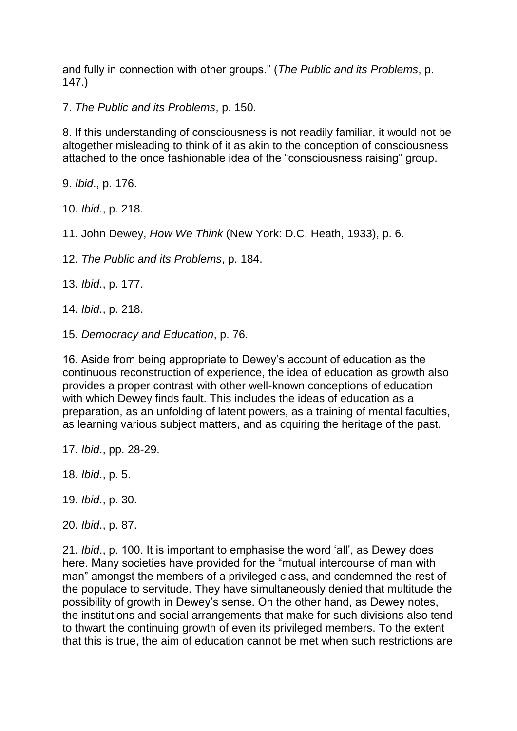and fully in connection with other groups." (*The Public and its Problems*, p. 147.)

7. *The Public and its Problems*, p. 150.

8. If this understanding of consciousness is not readily familiar, it would not be altogether misleading to think of it as akin to the conception of consciousness attached to the once fashionable idea of the "consciousness raising" group.

9. *Ibid*., p. 176.

10. *Ibid*., p. 218.

11. John Dewey, *How We Think* (New York: D.C. Heath, 1933), p. 6.

12. *The Public and its Problems*, p. 184.

13. *Ibid*., p. 177.

14. *Ibid*., p. 218.

15. *Democracy and Education*, p. 76.

16. Aside from being appropriate to Dewey's account of education as the continuous reconstruction of experience, the idea of education as growth also provides a proper contrast with other well-known conceptions of education with which Dewey finds fault. This includes the ideas of education as a preparation, as an unfolding of latent powers, as a training of mental faculties, as learning various subject matters, and as cquiring the heritage of the past.

17. *Ibid*., pp. 28-29.

18. *Ibid*., p. 5.

19. *Ibid*., p. 30.

20. *Ibid*., p. 87.

21. *Ibid*., p. 100. It is important to emphasise the word 'all', as Dewey does here. Many societies have provided for the "mutual intercourse of man with man" amongst the members of a privileged class, and condemned the rest of the populace to servitude. They have simultaneously denied that multitude the possibility of growth in Dewey's sense. On the other hand, as Dewey notes, the institutions and social arrangements that make for such divisions also tend to thwart the continuing growth of even its privileged members. To the extent that this is true, the aim of education cannot be met when such restrictions are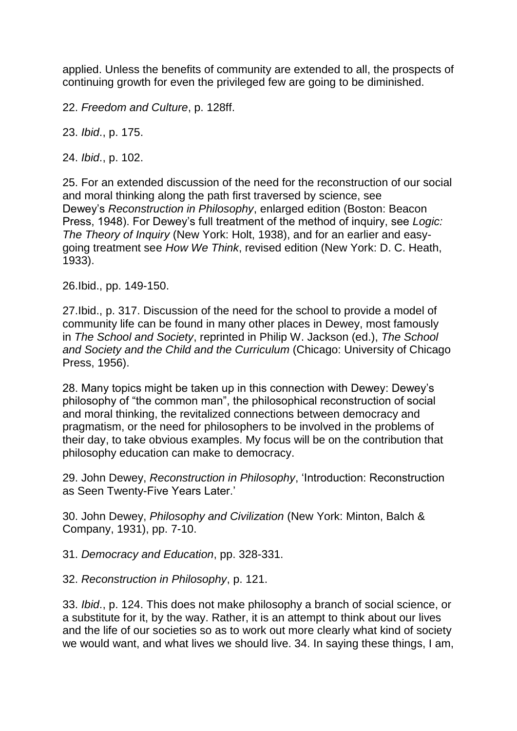applied. Unless the benefits of community are extended to all, the prospects of continuing growth for even the privileged few are going to be diminished.

22. *Freedom and Culture*, p. 128ff.

23. *Ibid*., p. 175.

24. *Ibid*., p. 102.

25. For an extended discussion of the need for the reconstruction of our social and moral thinking along the path first traversed by science, see Dewey's *Reconstruction in Philosophy*, enlarged edition (Boston: Beacon Press, 1948). For Dewey's full treatment of the method of inquiry, see *Logic: The Theory of Inquiry* (New York: Holt, 1938), and for an earlier and easygoing treatment see *How We Think*, revised edition (New York: D. C. Heath, 1933).

26.Ibid., pp. 149-150.

27.Ibid., p. 317. Discussion of the need for the school to provide a model of community life can be found in many other places in Dewey, most famously in *The School and Society*, reprinted in Philip W. Jackson (ed.), *The School and Society and the Child and the Curriculum* (Chicago: University of Chicago Press, 1956).

28. Many topics might be taken up in this connection with Dewey: Dewey's philosophy of "the common man", the philosophical reconstruction of social and moral thinking, the revitalized connections between democracy and pragmatism, or the need for philosophers to be involved in the problems of their day, to take obvious examples. My focus will be on the contribution that philosophy education can make to democracy.

29. John Dewey, *Reconstruction in Philosophy*, 'Introduction: Reconstruction as Seen Twenty-Five Years Later.'

30. John Dewey, *Philosophy and Civilization* (New York: Minton, Balch & Company, 1931), pp. 7-10.

31. *Democracy and Education*, pp. 328-331.

32. *Reconstruction in Philosophy*, p. 121.

33. *Ibid*., p. 124. This does not make philosophy a branch of social science, or a substitute for it, by the way. Rather, it is an attempt to think about our lives and the life of our societies so as to work out more clearly what kind of society we would want, and what lives we should live. 34. In saying these things, I am,